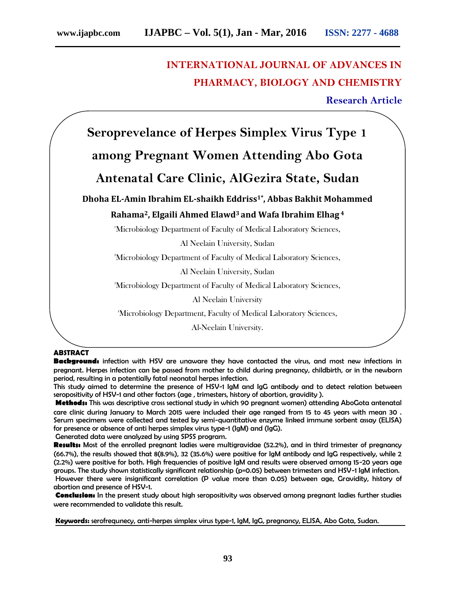## **INTERNATIONAL JOURNAL OF ADVANCES IN PHARMACY, BIOLOGY AND CHEMISTRY**

### **Research Article**

**Seroprevelance of Herpes Simplex Virus Type 1**

# **among Pregnant Women Attending Abo Gota**

## **Antenatal Care Clinic, AlGezira State, Sudan**

**Dhoha EL-Amin Ibrahim EL-shaikh Eddriss1\* , Abbas Bakhit Mohammed**

### **Rahama2, Elgaili Ahmed Elawd<sup>3</sup> and Wafa Ibrahim Elhag <sup>4</sup>**

<sup>1</sup>Microbiology Department of Faculty of Medical Laboratory Sciences,

Al Neelain University, Sudan

<sup>2</sup>Microbiology Department of Faculty of Medical Laboratory Sciences,

Al Neelain University, Sudan

<sup>3</sup>Microbiology Department of Faculty of Medical Laboratory Sciences,

Al Neelain University

<sup>4</sup>Microbiology Department, Faculty of Medical Laboratory Sciences,

Al-Neelain University.

#### **ABSTRACT**

**Background:** infection with HSV are unaware they have contacted the virus, and most new infections in pregnant. Herpes infection can be passed from mother to child during pregnancy, childbirth, or in the newborn period, resulting in a potentially fatal neonatal herpes infection.

This study aimed to determine the presence of HSV-1 IgM and IgG antibody and to detect relation between seropositivity of HSV-1 and other factors (age , trimesters, history of abortion, gravidity ).

**Methods:** This was descriptive cross sectional study in which 90 pregnant women) attending AboGota antenatal care clinic during January to March 2015 were included their age ranged from 15 to 45 years with mean 30 . Serum specimens were collected and tested by semi-quantitative enzyme linked immune sorbent assay (ELISA) for presence or absence of anti herpes simplex virus type-1 (IgM) and (IgG).

Generated data were analyzed by using SPSS program.

**Results:** Most of the enrolled pregnant ladies were multigravidae (52.2%), and in third trimester of pregnancy (66.7%), the results showed that 8(8.9%), 32 (35.6%) were positive for IgM antibody and IgG respectively, while 2 (2.2%) were positive for both. High frequencies of positive IgM and results were observed among 15-20 years age groups. The study shown statistically significant relationship (p=0.05) between trimesters and HSV-1 IgM infection. However there were insignificant correlation (P value more than 0.05) between age, Gravidity, history of abortion and presence of HSV-1.

**Conclusion:** In the present study about high seropositivity was observed among pregnant ladies further studies were recommended to validate this result.

**Keywords:** serofrequnecy, anti-herpes simplex virus type-1, IgM, IgG, pregnancy, ELISA, Abo Gota, Sudan.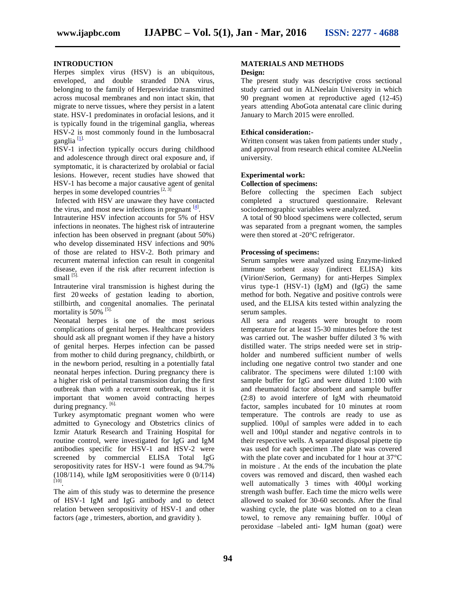#### **INTRODUCTION**

Herpes simplex virus (HSV) is an ubiquitous, enveloped, and double stranded DNA virus, belonging to the family of Herpesviridae transmitted across mucosal membranes and non intact skin, that migrate to nerve tissues, where they persist in a latent state. HSV-1 predominates in orofacial lesions, and it is typically found in the trigeminal ganglia, whereas HSV-2 is most commonly found in the lumbosacral ganglia  $[1]$ .

HSV-1 infection typically occurs during childhood and adolescence through direct oral exposure and, if symptomatic, it is characterized by orolabial or facial lesions. However, recent studies have showed that HSV-1 has become a major causative agent of genital herpes in some developed countries<sup>[2, 3]</sup>

Infected with HSV are unaware they have contacted the virus, and most new infections in pregnant  $[4]$ .

Intrauterine HSV infection accounts for 5% of HSV infections in neonates. The highest risk of intrauterine infection has been observed in pregnant (about 50%) who develop disseminated HSV infections and 90% of those are related to HSV-2. Both primary and recurrent maternal infection can result in congenital disease, even if the risk after recurrent infection is small  $^{[5]}$ .

Intrauterine viral transmission is highest during the first 20 weeks of gestation leading to abortion, stillbirth, and congenital anomalies. The perinatal mortality is  $50\%$ <sup>[5].</sup>

Neonatal herpes is one of the most serious complications of genital herpes. Healthcare providers should ask all pregnant women if they have a history of genital herpes. Herpes infection can be passed from mother to child during pregnancy, childbirth, or in the newborn period, resulting in a potentially fatal neonatal herpes infection. During pregnancy there is a higher risk of perinatal transmission during the first outbreak than with a recurrent outbreak, thus it is important that women avoid contracting herpes during pregnancy. [6].

Turkey asymptomatic pregnant women who were admitted to Gynecology and Obstetrics clinics of Izmir Ataturk Research and Training Hospital for routine control, were investigated for IgG and IgM antibodies specific for HSV-1 and HSV-2 were screened by commercial ELISA Total IgG seropositivity rates for HSV-1 were found as 94.7% (108/114), while IgM seropositivities were 0 (0/114) [10].

The aim of this study was to determine the presence of HSV-1 IgM and IgG antibody and to detect relation between seropositivity of HSV-1 and other factors (age , trimesters, abortion, and gravidity ).

#### **MATERIALS AND METHODS Design:**

The present study was descriptive cross sectional study carried out in ALNeelain University in which 90 pregnant women at reproductive aged (12-45) years attending AboGota antenatal care clinic during January to March 2015 were enrolled.

#### **Ethical consideration:-**

Written consent was taken from patients under study , and approval from research ethical comitee ALNeelin university.

#### **Experimental work: Collection of specimens:**

Before collecting the specimen Each subject completed a structured questionnaire. Relevant sociodemographic variables were analyzed.

A total of 90 blood specimens were collected, serum was separated from a pregnant women, the samples were then stored at -20°C refrigerator.

#### **Processing of specimens:**

Serum samples were analyzed using Enzyme-linked immune sorbent assay (indirect ELISA) kits (Virion\Serion, Germany) for anti-Herpes Simplex virus type-1 (HSV-1) (IgM) and (IgG) the same method for both. Negative and positive controls were used, and the ELISA kits tested within analyzing the serum samples.

All sera and reagents were brought to room temperature for at least 15-30 minutes before the test was carried out. The washer buffer diluted 3 % with distilled water. The strips needed were set in strip holder and numbered sufficient number of wells including one negative control two stander and one calibrator. The specimens were diluted 1:100 with sample buffer for IgG and were diluted 1:100 with and rheumatoid factor absorbent and sample buffer (2:8) to avoid interfere of IgM with rheumatoid factor, samples incubated for 10 minutes at room temperature. The controls are ready to use as supplied. 100μl of samples were added in to each well and 100μl stander and negative controls in to their respective wells. A separated disposal pipette tip was used for each specimen .The plate was covered with the plate cover and incubated for 1 hour at 37°C in moisture . At the ends of the incubation the plate covers was removed and discard, then washed each well automatically 3 times with 400μl working strength wash buffer. Each time the micro wells were allowed to soaked for 30-60 seconds. After the final washing cycle, the plate was blotted on to a clean towel, to remove any remaining buffer. 100μl of peroxidase –labeled anti- IgM human (goat) were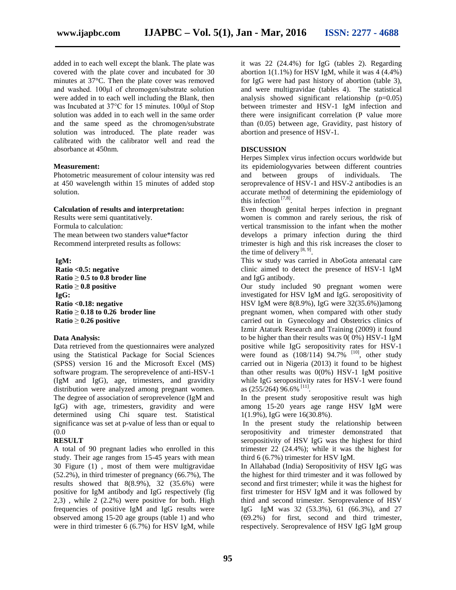added in to each well except the blank. The plate was covered with the plate cover and incubated for 30 minutes at 37°C. Then the plate cover was removed and washed. 100μl of chromogen/substrate solution were added in to each well including the Blank, then was Incubated at 37°C for 15 minutes. 100μl of Stop solution was added in to each well in the same order and the same speed as the chromogen/substrate solution was introduced. The plate reader was calibrated with the calibrator well and read the absorbance at 450nm.

#### **Measurement:**

Photometric measurement of colour intensity was red at 450 wavelength within 15 minutes of added stop solution.

#### **Calculation of results and interpretation:**

Results were semi quantitatively. Formula to calculation: The mean between two standers value\*factor Recommend interpreted results as follows:

**IgM: Ratio <0.5: negative Ratio** ≥ **0.5 to 0.8 broder line Ratio** ≥ **0.8 positive IgG: Ratio <0.18: negative Ratio** ≥ **0.18 to 0.26 broder line Ratio** ≥ **0.26 positive**

#### **Data Analysis:**

Data retrieved from the questionnaires were analyzed using the Statistical Package for Social Sciences (SPSS) version 16 and the Microsoft Excel (MS) software program. The seroprevelence of anti-HSV-1 (IgM and IgG), age, trimesters, and gravidity distribution were analyzed among pregnant women. The degree of association of seroprevelence (IgM and IgG) with age, trimesters, gravidity and were determined using Chi square test. Statistical significance was set at p-value of less than or equal to (0.0

#### **RESULT**

A total of 90 pregnant ladies who enrolled in this study. Their age ranges from 15-45 years with mean 30 Figure (1) , most of them were multigravidae (52.2%), in third trimester of pregnancy (66.7%), The results showed that  $8(8.9\%)$ , 32  $(35.6\%)$  were positive for IgM antibody and IgG respectively (fig  $2,3)$ , while  $2(2.2%)$  were positive for both. High frequencies of positive IgM and IgG results were observed among 15-20 age groups (table 1) and who were in third trimester 6 (6.7%) for HSV IgM, while

it was 22 (24.4%) for IgG (tables 2). Regarding abortion  $1(1.1\%)$  for HSV IgM, while it was  $4(4.4\%)$ for IgG were had past history of abortion (table 3), and were multigravidae (tables 4). The statistical analysis showed significant relationship (p=0.05) between trimester and HSV-1 IgM infection and there were insignificant correlation (P value more than (0.05) between age, Gravidity, past history of abortion and presence of HSV-1.

#### **DISCUSSION**

Herpes Simplex virus infection occurs worldwide but its epidemiologyvaries between different countries between groups of individuals. The seroprevalence of HSV-1 and HSV-2 antibodies is an accurate method of determining the epidemiology of this infection<sup>[7,8]</sup>.

Even though genital herpes infection in pregnant women is common and rarely serious, the risk of vertical transmission to the infant when the mother develops a primary infection during the third trimester is high and this risk increases the closer to the time of delivery  $[8, 9]$ .

This w study was carried in AboGota antenatal care clinic aimed to detect the presence of HSV-1 IgM and IgG antibody.

Our study included 90 pregnant women were investigated for HSV IgM and IgG. seropositivity of HSV IgM were 8(8.9%), IgG were 32(35.6%))among pregnant women, when compared with other study carried out in Gynecology and Obstetrics clinics of Izmir Ataturk Research and Training (2009) it found to be higher than their results was 0( 0%) HSV-1 IgM positive while IgG seropositivity rates for HSV-1 were found as  $(108/114)$  94.7%  $^{[10]}$ , other study carried out in Nigeria (2013) it found to be highest than other results was 0(0%) HSV-1 IgM positive while IgG seropositivity rates for HSV-1 were found as  $(255/264)$   $96.6\%$ <sup>[11]</sup>.

In the present study seropositive result was high among 15-20 years age range HSV IgM were 1(1.9%), IgG were 16(30.8%).

In the present study the relationship between seropositivity and trimester demonstrated that seropositivity of HSV IgG was the highest for third trimester 22 (24.4%); while it was the highest for third 6 (6.7%) trimester for HSV IgM.

In Allahabad (India) Seropositivity of HSV IgG was the highest for third trimester and it was followed by second and first trimester; while it was the highest for first trimester for HSV IgM and it was followed by third and second trimester. Seroprevalence of HSV IgG IgM was 32 (53.3%), 61 (66.3%), and 27 (69.2%) for first, second and third trimester, respectively. Seroprevalence of HSV IgG IgM group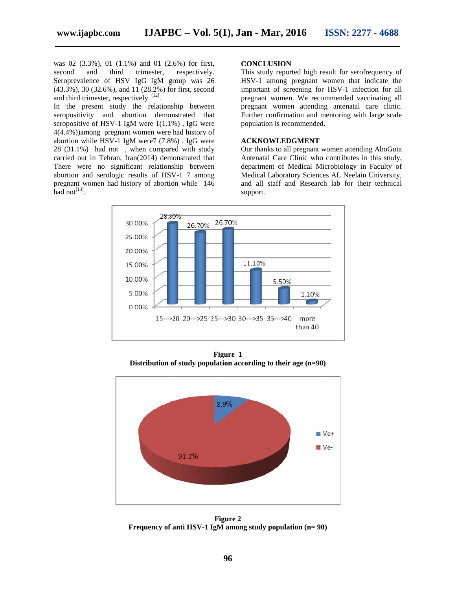was 02 (3.3%), 01 (1.1%) and 01 (2.6%) for first, second and third trimester, respectively. Seroprevalence of HSV IgG IgM group was 26 (43.3%), 30 (32.6%), and 11 (28.2%) for first, second and third trimester, respectively.  $[12]$ .

In the present study the relationship between seropositivity and abortion demonstrated that seropositive of HSV-1 IgM were 1(1.1%) , IgG were seropositive of HSV-1 IgM were 1(1.1%), IgG were 4(4.4%))among pregnant women were had history of abortion while HSV-1 IgM were7 (7.8%), IgG were 28 (31.1%) had not , when compared with study carried out in Tehran, Iran(2014) demonstrated that There were no significant relationship between abortion and serologic results of HSV-1 7 among pregnant women had history of abortion while 146 had  $not^{[13]}$ . had not, when compared with study<br>i Tehran, Iran(2014) demonstrated that<br>no significant relationship between<br>serologic results of HSV-1 7 among and third trimester, respectively. This study reported high result for serofrequency of<br>
valence of HSV IgG IgM group was 26<br>
dimester, respectively.<sup>[12]</sup>, 30 (32.6%), and 11 (28.2%) for first, second<br>
dimester, respecti

#### **CONCLUSION**

This study reported high result for serofrequency of HSV-1 among pregnant women that indicate the important of screening for HSV-1 infection for all pregnant women. We recommended vaccinating all pregnant women attending antenatal care clinic. Further confirmation and mentoring with large scale population is recommended.

#### **ACKNOWLEDGMENT**

Our thanks to all pregnant women attending AboGota Antenatal Care Clinic who contributes in this study, department of Medical Microbiology in Faculty of Medical Laboratory Sciences AL Neelain University, and all staff and Research lab for their technical support.



**Figure 1 Distribution of study population according to their age (n=90)**



**Figure 2 Frequency of anti HSV-1 IgM among study population (n= 90)**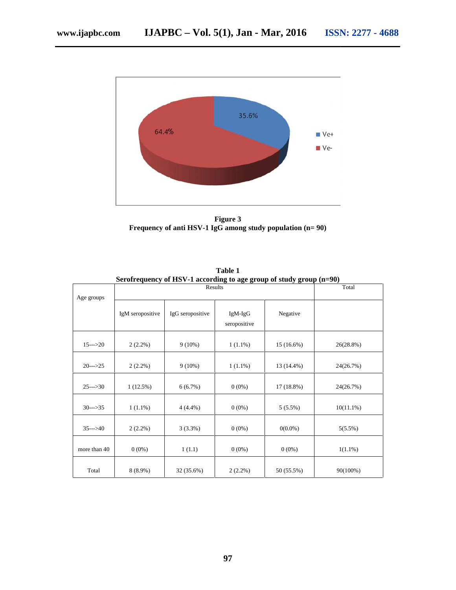

**Figure 3 Frequency of anti HSV-1 IgG among study population (n= 90) Frequency of among study** 

|                     | $\sim$ . $\sim$ . $\sim$ . $\sim$ . $\sim$ . $\sim$ . $\sim$ . $\sim$ . $\sim$ . $\sim$ . $\sim$ . $\sim$ . $\sim$ . $\sim$ . $\sim$ . $\sim$ . $\sim$ . $\sim$ . $\sim$ . $\sim$ . $\sim$ . $\sim$ . $\sim$ . $\sim$ . $\sim$ . $\sim$ . $\sim$ . $\sim$ . $\sim$ . $\sim$ . $\sim$ . $\sim$ | $\frac{1}{2}$ to age group or starty group (in 50)<br>Total |                           |              |              |
|---------------------|-----------------------------------------------------------------------------------------------------------------------------------------------------------------------------------------------------------------------------------------------------------------------------------------------|-------------------------------------------------------------|---------------------------|--------------|--------------|
| Age groups          | IgM seropositive                                                                                                                                                                                                                                                                              | IgG seropositive                                            | $IgM-IgG$<br>seropositive | Negative     |              |
| $15 \rightarrow 20$ | $2(2.2\%)$                                                                                                                                                                                                                                                                                    | $9(10\%)$                                                   | $1(1.1\%)$                | $15(16.6\%)$ | 26(28.8%)    |
| $20-->25$           | $2(2.2\%)$                                                                                                                                                                                                                                                                                    | $9(10\%)$                                                   | $1(1.1\%)$                | 13 (14.4%)   | 24(26.7%)    |
| $25--30$            | 1(12.5%)                                                                                                                                                                                                                                                                                      | 6(6.7%)                                                     | $0(0\%)$                  | 17 (18.8%)   | 24(26.7%)    |
| $30--35$            | $1(1.1\%)$                                                                                                                                                                                                                                                                                    | $4(4.4\%)$                                                  | $0(0\%)$                  | $5(5.5\%)$   | $10(11.1\%)$ |
| $35-->40$           | $2(2.2\%)$                                                                                                                                                                                                                                                                                    | $3(3.3\%)$                                                  | $0(0\%)$                  | $0(0.0\%)$   | $5(5.5\%)$   |
| more than 40        | $0(0\%)$                                                                                                                                                                                                                                                                                      | 1(1.1)                                                      | $0(0\%)$                  | $0(0\%)$     | $1(1.1\%)$   |
| Total               | $8(8.9\%)$                                                                                                                                                                                                                                                                                    | 32 (35.6%)                                                  | $2(2.2\%)$                | 50 (55.5%)   | 90(100%)     |

**Table 1 Serofrequency of HSV-1 according to age group of study group (n=90)**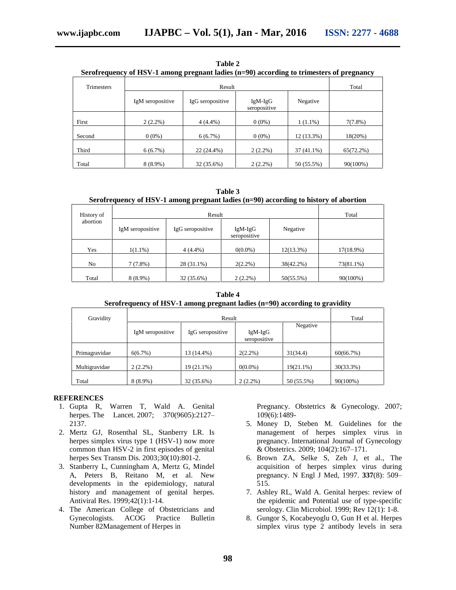| Serofrequency of HSV-1 among pregnant ladies (n=90) according to trimesters of pregnancy |                  |                  |                           |              |              |
|------------------------------------------------------------------------------------------|------------------|------------------|---------------------------|--------------|--------------|
| <b>Trimesters</b>                                                                        |                  | Total            |                           |              |              |
|                                                                                          | IgM seropositive | IgG seropositive | $IgM-IgG$<br>seropositive | Negative     |              |
| First                                                                                    | $2(2.2\%)$       | $4(4.4\%)$       | $0(0\%)$                  | $1(1.1\%)$   | $7(7.8\%)$   |
| Second                                                                                   | $0(0\%)$         | 6(6.7%)          | $0(0\%)$                  | 12 (13.3%)   | 18(20%)      |
| Third                                                                                    | 6(6.7%)          | 22 (24.4%)       | $2(2.2\%)$                | $37(41.1\%)$ | $65(72.2\%)$ |

**Table 2**

| Table 3 |  |
|---------|--|
|---------|--|

#### **Serofrequency of HSV-1 among pregnant ladies (n=90) according to history of abortion**

Total  $8 (8.9\%)$   $32 (35.6\%)$   $2 (2.2\%)$   $50 (55.5\%)$   $90(100\%)$ 

| History of     |                  | Total            |                           |              |              |
|----------------|------------------|------------------|---------------------------|--------------|--------------|
| abortion       | IgM seropositive | IgG seropositive | $IgM-IgG$<br>seropositive | Negative     |              |
| Yes            | $1(1.1\%)$       | $4(4.4\%)$       | $0(0.0\%)$                | $12(13.3\%)$ | $17(18.9\%)$ |
| N <sub>o</sub> | 7(7.8%)          | 28 (31.1%)       | $2(2.2\%)$                | 38(42.2%)    | 73(81.1%)    |
| Total          | $8(8.9\%)$       | 32 (35.6%)       | $2(2.2\%)$                | 50(55.5%)    | 90(100%)     |

**Table 4 Serofrequency of HSV-1 among pregnant ladies (n=90) according to gravidity**

| Gravidity     |                  | Total            |                           |            |              |
|---------------|------------------|------------------|---------------------------|------------|--------------|
|               | IgM seropositive | IgG seropositive | $IgM-IgG$<br>seropositive | Negative   |              |
| Primagravidae | 6(6.7%)          | 13 (14.4%)       | $2(2.2\%)$                | 31(34.4)   | 60(66.7%)    |
| Multigravidae | $2(2.2\%)$       | $19(21.1\%)$     | $0(0.0\%)$                | 19(21.1%)  | $30(33.3\%)$ |
| Total         | $8(8.9\%)$       | 32 (35.6%)       | $2(2.2\%)$                | 50 (55.5%) | 90(100%)     |

#### **REFERENCES**

- 1. Gupta R, Warren T, Wald A. Genital herpes. The Lancet. 2007; 370(9605):2127-2137.
- 2. Mertz GJ, Rosenthal SL, Stanberry LR. Is herpes simplex virus type 1 (HSV-1) now more common than HSV-2 in first episodes of genital herpes Sex Transm Dis. 2003;30(10):801-2.
- 3. Stanberry L, Cunningham A, Mertz G, Mindel A, Peters B, Reitano M, et al. New developments in the epidemiology, natural history and management of genital herpes. Antiviral Res. 1999;42(1):1-14.
- 4. The American College of Obstetricians and Gynecologists. ACOG Practice Bulletin Number 82Management of Herpes in

Pregnancy. Obstetrics & Gynecology. 2007; 109(6):1489-

- 5. Money D, Steben M. Guidelines for the management of herpes simplex virus in pregnancy. International Journal of Gynecology & Obstetrics. 2009; 104(2):167–171.
- 6. Brown ZA, Selke S, Zeh J, et al., The acquisition of herpes simplex virus during pregnancy. N Engl J Med, 1997. **337**(8): 509– 515.
- 7. Ashley RL, Wald A. Genital herpes: review of the epidemic and Potential use of type-specific serology. Clin Microbiol. 1999; Rev 12(1): 1-8.
- 8. Gungor S, Kocabeyoglu O, Gun H et al. Herpes simplex virus type 2 antibody levels in sera